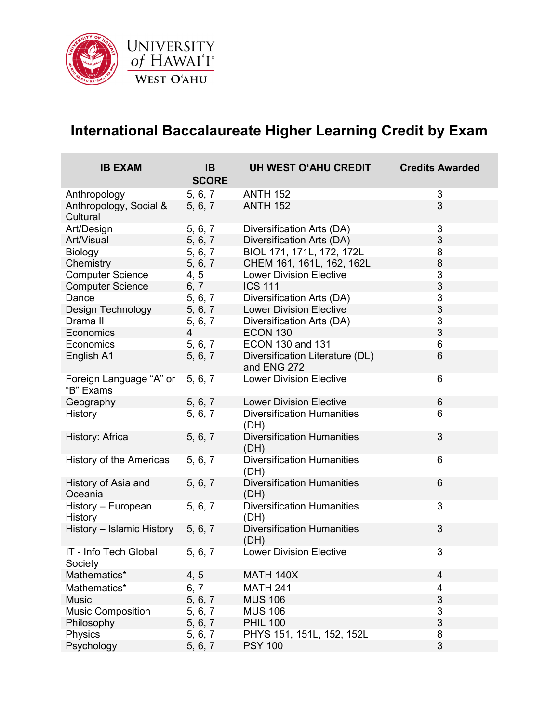

## **International Baccalaureate Higher Learning Credit by Exam**

| <b>IB EXAM</b>                       | <b>IB</b><br><b>SCORE</b> | UH WEST O'AHU CREDIT                           | <b>Credits Awarded</b> |
|--------------------------------------|---------------------------|------------------------------------------------|------------------------|
| Anthropology                         | 5, 6, 7                   | <b>ANTH 152</b>                                | 3                      |
| Anthropology, Social &<br>Cultural   | 5, 6, 7                   | <b>ANTH 152</b>                                | 3                      |
| Art/Design                           | 5, 6, 7                   | Diversification Arts (DA)                      | 3                      |
| Art/Visual                           | 5, 6, 7                   | Diversification Arts (DA)                      | 3                      |
| Biology                              | 5, 6, 7                   | BIOL 171, 171L, 172, 172L                      | 8                      |
| Chemistry                            | 5, 6, 7                   | CHEM 161, 161L, 162, 162L                      | 8                      |
| <b>Computer Science</b>              | 4, 5                      | <b>Lower Division Elective</b>                 | 3                      |
| <b>Computer Science</b>              | 6, 7                      | <b>ICS 111</b>                                 | 3                      |
| Dance                                | 5, 6, 7                   | Diversification Arts (DA)                      | 3                      |
| Design Technology                    | 5, 6, 7                   | <b>Lower Division Elective</b>                 | 3                      |
| Drama II                             | 5, 6, 7                   | Diversification Arts (DA)                      | 3                      |
| Economics                            | 4                         | <b>ECON 130</b>                                | 3                      |
| Economics                            | 5, 6, 7                   | <b>ECON 130 and 131</b>                        | 6                      |
| English A1                           | 5, 6, 7                   | Diversification Literature (DL)<br>and ENG 272 | 6                      |
| Foreign Language "A" or<br>"B" Exams | 5, 6, 7                   | <b>Lower Division Elective</b>                 | 6                      |
| Geography                            | 5, 6, 7                   | <b>Lower Division Elective</b>                 | 6                      |
| <b>History</b>                       | 5, 6, 7                   | <b>Diversification Humanities</b><br>(DH)      | 6                      |
| History: Africa                      | 5, 6, 7                   | <b>Diversification Humanities</b><br>(DH)      | 3                      |
| History of the Americas              | 5, 6, 7                   | <b>Diversification Humanities</b><br>(DH)      | 6                      |
| History of Asia and<br>Oceania       | 5, 6, 7                   | <b>Diversification Humanities</b><br>(DH)      | 6                      |
| History - European<br>History        | 5, 6, 7                   | <b>Diversification Humanities</b><br>(DH)      | 3                      |
| History - Islamic History            | 5, 6, 7                   | <b>Diversification Humanities</b><br>(DH)      | 3                      |
| IT - Info Tech Global<br>Society     | 5, 6, 7                   | <b>Lower Division Elective</b>                 | 3                      |
| Mathematics*                         | 4, 5                      | <b>MATH 140X</b>                               | $\overline{4}$         |
| Mathematics*                         | 6, 7                      | <b>MATH 241</b>                                | 4                      |
| <b>Music</b>                         | 5, 6, 7                   | <b>MUS 106</b>                                 | $\mathbf{3}$           |
| <b>Music Composition</b>             | 5, 6, 7                   | <b>MUS 106</b>                                 | 3                      |
| Philosophy                           | 5, 6, 7                   | <b>PHIL 100</b>                                | 3                      |
| Physics                              | 5, 6, 7                   | PHYS 151, 151L, 152, 152L                      | 8                      |
| Psychology                           | 5, 6, 7                   | <b>PSY 100</b>                                 | 3                      |